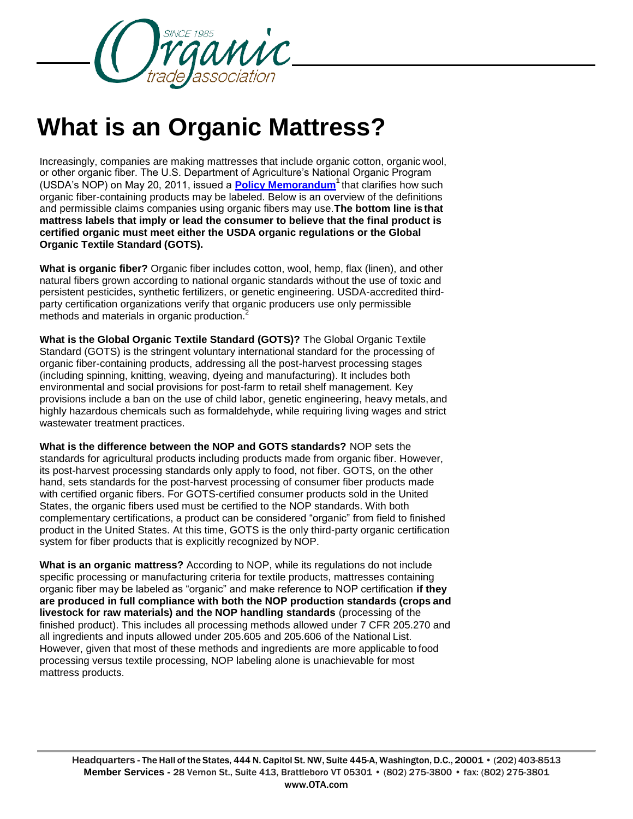

## **What is an Organic Mattress?**

Increasingly, companies are making mattresses that include organic cotton, organic wool, or other organic fiber. The U.S. Department of Agriculture's National Organic Program (USDA's NOP) on May 20, 2011, issued a **[Policy Memorandum](https://www.ams.usda.gov/sites/default/files/media/OrganicTextilePolicyMemo.pdf)<sup>1</sup>**that clarifies how such organic fiber-containing products may be labeled. Below is an overview of the definitions and permissible claims companies using organic fibers may use.**The bottom line is that mattress labels that imply or lead the consumer to believe that the final product is certified organic must meet either the USDA organic regulations or the Global Organic Textile Standard (GOTS).**

**What is organic fiber?** Organic fiber includes cotton, wool, hemp, flax (linen), and other natural fibers grown according to national organic standards without the use of toxic and persistent pesticides, synthetic fertilizers, or genetic engineering. USDA-accredited thirdparty certification organizations verify that organic producers use only permissible methods and materials in organic production.<sup>2</sup>

**What is the Global Organic Textile Standard (GOTS)?** The Global Organic Textile Standard (GOTS) is the stringent voluntary international standard for the processing of organic fiber-containing products, addressing all the post-harvest processing stages (including spinning, knitting, weaving, dyeing and manufacturing). It includes both environmental and social provisions for post-farm to retail shelf management. Key provisions include a ban on the use of child labor, genetic engineering, heavy metals, and highly hazardous chemicals such as formaldehyde, while requiring living wages and strict wastewater treatment practices.

**What is the difference between the NOP and GOTS standards?** NOP sets the standards for agricultural products including products made from organic fiber. However, its post-harvest processing standards only apply to food, not fiber. GOTS, on the other hand, sets standards for the post-harvest processing of consumer fiber products made with certified organic fibers. For GOTS-certified consumer products sold in the United States, the organic fibers used must be certified to the NOP standards. With both complementary certifications, a product can be considered "organic" from field to finished product in the United States. At this time, GOTS is the only third-party organic certification system for fiber products that is explicitly recognized by NOP.

**What is an organic mattress?** According to NOP, while its regulations do not include specific processing or manufacturing criteria for textile products, mattresses containing organic fiber may be labeled as "organic" and make reference to NOP certification **if they are produced in full compliance with both the NOP production standards (crops and livestock for raw materials) and the NOP handling standards** (processing of the finished product). This includes all processing methods allowed under 7 CFR 205.270 and all ingredients and inputs allowed under 205.605 and 205.606 of the National List. However, given that most of these methods and ingredients are more applicable to food processing versus textile processing, NOP labeling alone is unachievable for most mattress products.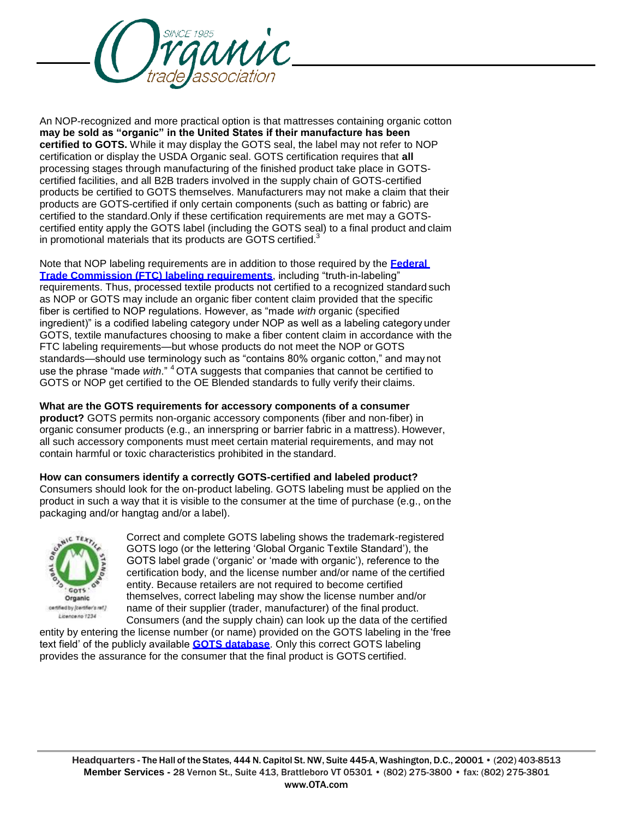

An NOP-recognized and more practical option is that mattresses containing organic cotton **may be sold as "organic" in the United States if their manufacture has been certified to GOTS.** While it may display the GOTS seal, the label may not refer to NOP certification or display the USDA Organic seal. GOTS certification requires that **all**  processing stages through manufacturing of the finished product take place in GOTScertified facilities, and all B2B traders involved in the supply chain of GOTS-certified products be certified to GOTS themselves. Manufacturers may not make a claim that their products are GOTS-certified if only certain components (such as batting or fabric) are certified to the standard.Only if these certification requirements are met may a GOTScertified entity apply the GOTS label (including the GOTS seal) to a final product and claim in promotional materials that its products are GOTS certified. $3$ 

Note that NOP labeling requirements are in addition to those required by the **[Federal](http://www.ftc.gov/os/statutes/textilejump.shtm)  [Trade Commission \(FTC\) labeling requirements](http://www.ftc.gov/os/statutes/textilejump.shtm)**, including "truth-in-labeling" requirements. Thus, processed textile products not certified to a recognized standard such as NOP or GOTS may include an organic fiber content claim provided that the specific fiber is certified to NOP regulations. However, as "made *with* organic (specified ingredient)" is a codified labeling category under NOP as well as a labeling category under GOTS, textile manufactures choosing to make a fiber content claim in accordance with the FTC labeling requirements—but whose products do not meet the NOP or GOTS standards—should use terminology such as "contains 80% organic cotton," and may not use the phrase "made with." <sup>4</sup> OTA suggests that companies that cannot be certified to GOTS or NOP get certified to the OE Blended standards to fully verify their claims.

## **What are the GOTS requirements for accessory components of a consumer**

**product?** GOTS permits non-organic accessory components (fiber and non-fiber) in organic consumer products (e.g., an innerspring or barrier fabric in a mattress). However, all such accessory components must meet certain material requirements, and may not contain harmful or toxic characteristics prohibited in the standard.

**How can consumers identify a correctly GOTS-certified and labeled product?**  Consumers should look for the on-product labeling. GOTS labeling must be applied on the product in such a way that it is visible to the consumer at the time of purchase (e.g., on the packaging and/or hangtag and/or a label).



Correct and complete GOTS labeling shows the trademark-registered GOTS logo (or the lettering 'Global Organic Textile Standard'), the GOTS label grade ('organic' or 'made with organic'), reference to the certification body, and the license number and/or name of the certified entity. Because retailers are not required to become certified themselves, correct labeling may show the license number and/or name of their supplier (trader, manufacturer) of the final product.

Consumers (and the supply chain) can look up the data of the certified entity by entering the license number (or name) provided on the GOTS labeling in the 'free text field' of the publicly available **[GOTS database](http://www.ota.com/organic/fiber/www.global-standard.org)**. Only this correct GOTS labeling provides the assurance for the consumer that the final product is GOTS certified.